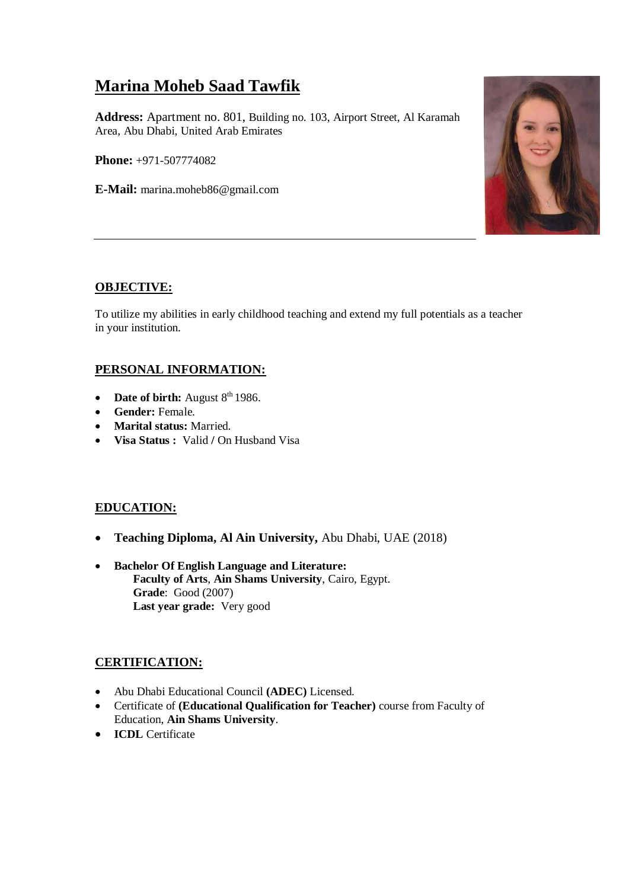# **Marina Moheb Saad Tawfik**

**Address:** Apartment no. 801, Building no. 103, Airport Street, Al Karamah Area, Abu Dhabi, United Arab Emirates

**Phone:** +971-507774082

**E-Mail:** marina.moheb86@gmail.com



## **OBJECTIVE:**

To utilize my abilities in early childhood teaching and extend my full potentials as a teacher in your institution.

## **PERSONAL INFORMATION:**

- Date of birth: August  $8<sup>th</sup>$  1986.
- **Gender:** Female.
- **Marital status:** Married.
- **Visa Status :** Valid **/** On Husband Visa

#### **EDUCATION:**

- **Teaching Diploma, Al Ain University,** Abu Dhabi, UAE (2018)
- **Bachelor Of English Language and Literature: Faculty of Arts**, **Ain Shams University**, Cairo, Egypt. **Grade**: Good (2007) **Last year grade:** Very good

## **CERTIFICATION:**

- Abu Dhabi Educational Council **(ADEC)** Licensed.
- Certificate of **(Educational Qualification for Teacher)** course from Faculty of Education, **Ain Shams University**.
- **ICDL** Certificate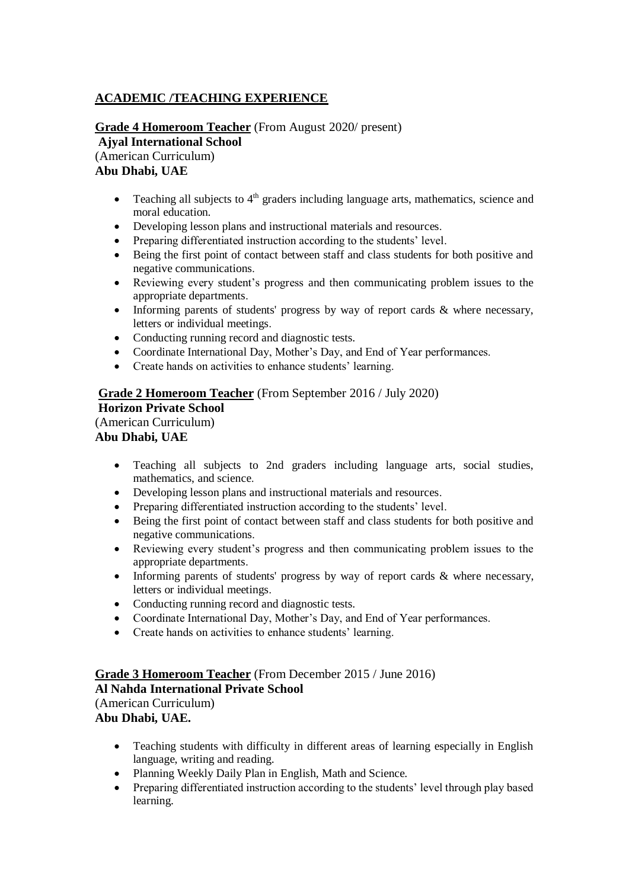## **ACADEMIC /TEACHING EXPERIENCE**

## **Grade 4 Homeroom Teacher** (From August 2020/ present) **Ajyal International School**

(American Curriculum) **Abu Dhabi, UAE**

- Teaching all subjects to 4<sup>th</sup> graders including language arts, mathematics, science and moral education.
- Developing lesson plans and instructional materials and resources.
- Preparing differentiated instruction according to the students' level.
- Being the first point of contact between staff and class students for both positive and negative communications.
- Reviewing every student's progress and then communicating problem issues to the appropriate departments.
- Informing parents of students' progress by way of report cards & where necessary, letters or individual meetings.
- Conducting running record and diagnostic tests.
- Coordinate International Day, Mother's Day, and End of Year performances.
- Create hands on activities to enhance students' learning.

#### **Grade 2 Homeroom Teacher** (From September 2016 / July 2020) **Horizon Private School**  (American Curriculum) **Abu Dhabi, UAE**

- Teaching all subjects to 2nd graders including language arts, social studies, mathematics, and science.
- Developing lesson plans and instructional materials and resources.
- Preparing differentiated instruction according to the students' level.
- Being the first point of contact between staff and class students for both positive and negative communications.
- Reviewing every student's progress and then communicating problem issues to the appropriate departments.
- Informing parents of students' progress by way of report cards & where necessary, letters or individual meetings.
- Conducting running record and diagnostic tests.
- Coordinate International Day, Mother's Day, and End of Year performances.
- Create hands on activities to enhance students' learning.

#### **Grade 3 Homeroom Teacher** (From December 2015 / June 2016) **Al Nahda International Private School**  (American Curriculum) **Abu Dhabi, UAE.**

- Teaching students with difficulty in different areas of learning especially in English language, writing and reading.
- Planning Weekly Daily Plan in English, Math and Science.
- Preparing differentiated instruction according to the students' level through play based learning.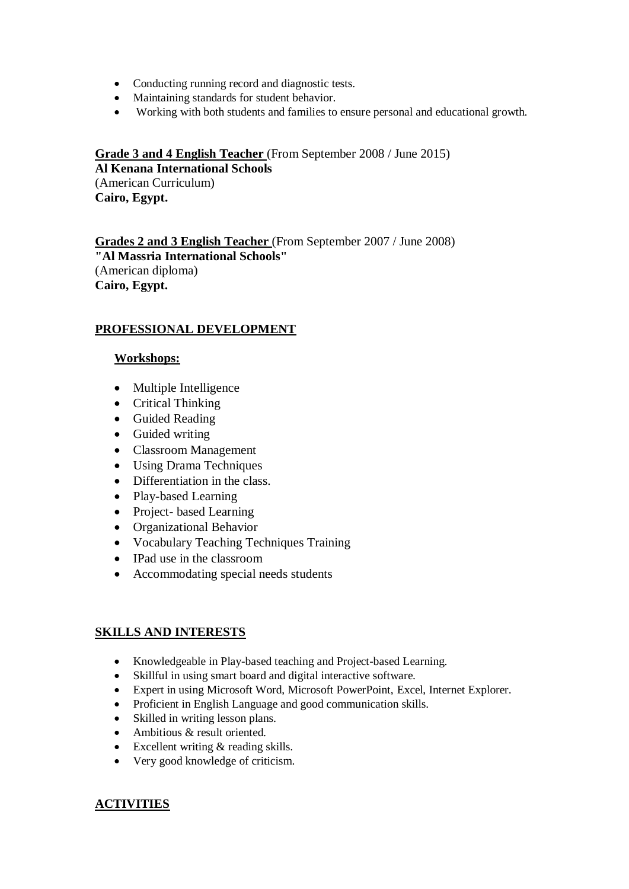- Conducting running record and diagnostic tests.
- Maintaining standards for student behavior.
- Working with both students and families to ensure personal and educational growth.

**Grade 3 and 4 English Teacher** (From September 2008 / June 2015) **Al Kenana International Schools** (American Curriculum)

**Cairo, Egypt.**

**Grades 2 and 3 English Teacher** (From September 2007 / June 2008) **"Al Massria International Schools"** (American diploma) **Cairo, Egypt.**

## **PROFESSIONAL DEVELOPMENT**

#### **Workshops:**

- Multiple Intelligence
- Critical Thinking
- Guided Reading
- Guided writing
- Classroom Management
- Using Drama Techniques
- Differentiation in the class.
- Play-based Learning
- Project- based Learning
- Organizational Behavior
- Vocabulary Teaching Techniques Training
- IPad use in the classroom
- Accommodating special needs students

## **SKILLS AND INTERESTS**

- Knowledgeable in Play-based teaching and Project-based Learning.
- Skillful in using smart board and digital interactive software.
- Expert in using Microsoft Word, Microsoft PowerPoint, Excel, Internet Explorer.
- Proficient in English Language and good communication skills.
- Skilled in writing lesson plans.
- Ambitious & result oriented.
- Excellent writing & reading skills.
- Very good knowledge of criticism.

## **ACTIVITIES**